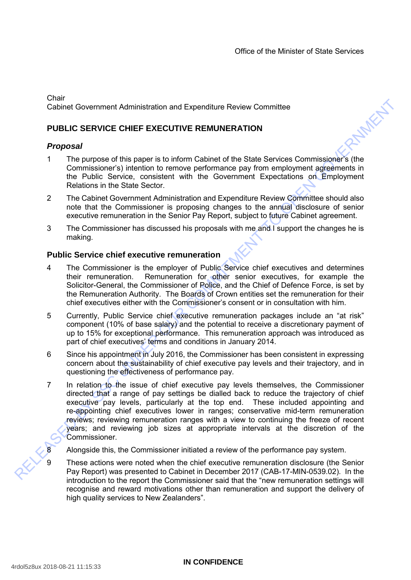**Chair** Cabinet Government Administration and Expenditure Review Committee

# **PUBLIC SERVICE CHIEF EXECUTIVE REMUNERATION**

## *Proposal*

- 1 The purpose of this paper is to inform Cabinet of the State Services Commissioner's (the Commissioner's) intention to remove performance pay from employment agreements in the Public Service, consistent with the Government Expectations on Employment Relations in the State Sector.
- 2 The Cabinet Government Administration and Expenditure Review Committee should also note that the Commissioner is proposing changes to the annual disclosure of senior executive remuneration in the Senior Pay Report, subject to future Cabinet agreement.
- 3 The Commissioner has discussed his proposals with me and I support the changes he is making.

## **Public Service chief executive remuneration**

- 4 The Commissioner is the employer of Public Service chief executives and determines their remuneration. Remuneration for other senior executives, for example the Solicitor-General, the Commissioner of Police, and the Chief of Defence Force, is set by the Remuneration Authority. The Boards of Crown entities set the remuneration for their chief executives either with the Commissioner's consent or in consultation with him.
- 5 Currently, Public Service chief executive remuneration packages include an "at risk" component (10% of base salary) and the potential to receive a discretionary payment of up to 15% for exceptional performance. This remuneration approach was introduced as part of chief executives' terms and conditions in January 2014.
- 6 Since his appointment in July 2016, the Commissioner has been consistent in expressing concern about the sustainability of chief executive pay levels and their trajectory, and in questioning the effectiveness of performance pay.
- Counter Government Administration and Expenditure Review Committee<br>
PUBLIC SERVICE CHIEF EXECUTIVE REMUNERATION<br>
Proposari<br>
1 Commission of the paper is to inform Cabinet of the State Services Commission's (the<br>
1 Commissi 7 In relation to the issue of chief executive pay levels themselves, the Commissioner directed that a range of pay settings be dialled back to reduce the trajectory of chief executive pay levels, particularly at the top end. These included appointing and re-appointing chief executives lower in ranges; conservative mid-term remuneration reviews; reviewing remuneration ranges with a view to continuing the freeze of recent years; and reviewing job sizes at appropriate intervals at the discretion of the Commissioner.
	- Alongside this, the Commissioner initiated a review of the performance pay system.
	- These actions were noted when the chief executive remuneration disclosure (the Senior Pay Report) was presented to Cabinet in December 2017 (CAB-17-MIN-0539.02). In the introduction to the report the Commissioner said that the "new remuneration settings will recognise and reward motivations other than remuneration and support the delivery of high quality services to New Zealanders".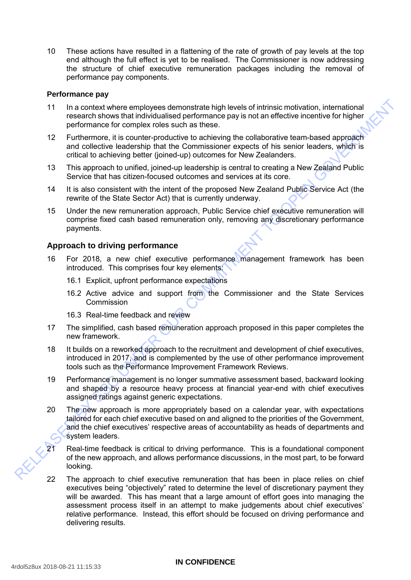10 These actions have resulted in a flattening of the rate of growth of pay levels at the top end although the full effect is yet to be realised. The Commissioner is now addressing the structure of chief executive remuneration packages including the removal of performance pay components.

### **Performance pay**

- 11 In a context where employees demonstrate high levels of intrinsic motivation, international research shows that individualised performance pay is not an effective incentive for higher performance for complex roles such as these.
- 12 Furthermore, it is counter-productive to achieving the collaborative team-based approach and collective leadership that the Commissioner expects of his senior leaders, which is critical to achieving better (joined-up) outcomes for New Zealanders.
- 13 This approach to unified, joined-up leadership is central to creating a New Zealand Public Service that has citizen-focused outcomes and services at its core.
- 14 It is also consistent with the intent of the proposed New Zealand Public Service Act (the rewrite of the State Sector Act) that is currently underway.
- 15 Under the new remuneration approach, Public Service chief executive remuneration will comprise fixed cash based remuneration only, removing any discretionary performance payments.

## **Approach to driving performance**

- 16 For 2018, a new chief executive performance management framework has been introduced. This comprises four key elements:
	- 16.1 Explicit, upfront performance expectations
	- 16.2 Active advice and support from the Commissioner and the State Services **Commission**
	- 16.3 Real-time feedback and review
- 17 The simplified, cash based remuneration approach proposed in this paper completes the new framework.
- 18 It builds on a reworked approach to the recruitment and development of chief executives, introduced in 2017, and is complemented by the use of other performance improvement tools such as the Performance Improvement Framework Reviews.
- 19 Performance management is no longer summative assessment based, backward looking and shaped by a resource heavy process at financial year-end with chief executives assigned ratings against generic expectations.
- The a context where employees demonstrate bigh twees of indirects make the reactive formulation, international terms of the proformance pay is not an effective incentive for higher<br>
performance for complex results and cons 20 The new approach is more appropriately based on a calendar year, with expectations tailored for each chief executive based on and aligned to the priorities of the Government, and the chief executives' respective areas of accountability as heads of departments and system leaders.
	- 21 Real-time feedback is critical to driving performance. This is a foundational component of the new approach, and allows performance discussions, in the most part, to be forward looking.
		- 22 The approach to chief executive remuneration that has been in place relies on chief executives being "objectively" rated to determine the level of discretionary payment they will be awarded. This has meant that a large amount of effort goes into managing the assessment process itself in an attempt to make judgements about chief executives' relative performance. Instead, this effort should be focused on driving performance and delivering results.

#### **IN CONFIDENCE**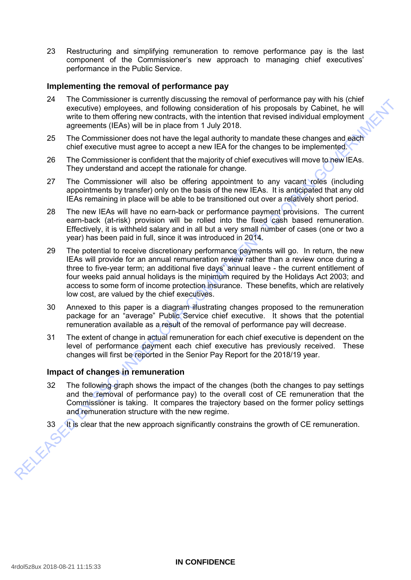23 Restructuring and simplifying remuneration to remove performance pay is the last component of the Commissioner's new approach to managing chief executives' performance in the Public Service.

### **Implementing the removal of performance pay**

- 24 The Commissioner is currently discussing the removal of performance pay with his (chief executive) employees, and following consideration of his proposals by Cabinet, he will write to them offering new contracts, with the intention that revised individual employment agreements (IEAs) will be in place from 1 July 2018.
- 25 The Commissioner does not have the legal authority to mandate these changes and each chief executive must agree to accept a new IEA for the changes to be implemented.
- 26 The Commissioner is confident that the majority of chief executives will move to new IEAs. They understand and accept the rationale for change.
- 27 The Commissioner will also be offering appointment to any vacant roles (including appointments by transfer) only on the basis of the new IEAs. It is anticipated that any old IEAs remaining in place will be able to be transitioned out over a relatively short period.
- 28 The new IEAs will have no earn-back or performance payment provisions. The current earn-back (at-risk) provision will be rolled into the fixed cash based remuneration. Effectively, it is withheld salary and in all but a very small number of cases (one or two a year) has been paid in full, since it was introduced in 2014.
- From continuous performance between the properties and the most of the control of the commutes of the most of the most of the most of the most of the most of the properties and performance of ECA) will be in place from 1 J 29 The potential to receive discretionary performance payments will go. In return, the new IEAs will provide for an annual remuneration review rather than a review once during a three to five-year term; an additional five days' annual leave - the current entitlement of four weeks paid annual holidays is the minimum required by the Holidays Act 2003; and access to some form of income protection insurance. These benefits, which are relatively low cost, are valued by the chief executives.
	- 30 Annexed to this paper is a diagram illustrating changes proposed to the remuneration package for an "average" Public Service chief executive. It shows that the potential remuneration available as a result of the removal of performance pay will decrease.
	- 31 The extent of change in actual remuneration for each chief executive is dependent on the level of performance payment each chief executive has previously received. These changes will first be reported in the Senior Pay Report for the 2018/19 year.

## **Impact of changes in remuneration**

- 32 The following graph shows the impact of the changes (both the changes to pay settings and the removal of performance pay) to the overall cost of CE remuneration that the Commissioner is taking. It compares the trajectory based on the former policy settings and remuneration structure with the new regime.
- 33 It is clear that the new approach significantly constrains the growth of CE remuneration.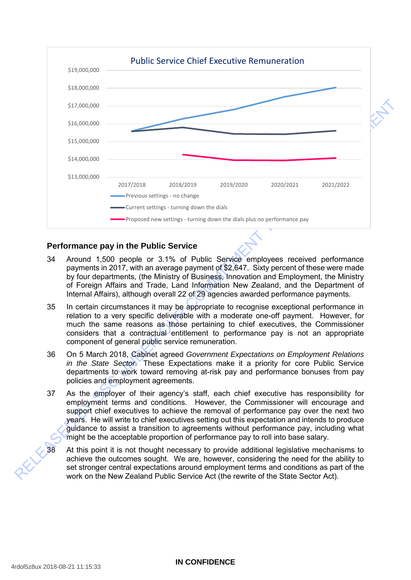

## **Performance pay in the Public Service**

- 34 Around 1,500 people or 3.1% of Public Service employees received performance payments in 2017, with an average payment of \$2,647. Sixty percent of these were made by four departments, (the Ministry of Business, Innovation and Employment, the Ministry of Foreign Affairs and Trade, Land Information New Zealand, and the Department of Internal Affairs), although overall 22 of 29 agencies awarded performance payments.
- 35 In certain circumstances it may be appropriate to recognise exceptional performance in relation to a very specific deliverable with a moderate one-off payment. However, for much the same reasons as those pertaining to chief executives, the Commissioner considers that a contractual entitlement to performance pay is not an appropriate component of general public service remuneration.
- 36 On 5 March 2018, Cabinet agreed *Government Expectations on Employment Relations in the State Sector*. These Expectations make it a priority for core Public Service departments to work toward removing at-risk pay and performance bonuses from pay policies and employment agreements.
- 37 As the employer of their agency's staff, each chief executive has responsibility for employment terms and conditions. However, the Commissioner will encourage and support chief executives to achieve the removal of performance pay over the next two years. He will write to chief executives setting out this expectation and intends to produce guidance to assist a transition to agreements without performance pay, including what might be the acceptable proportion of performance pay to roll into base salary.
- At this point it is not thought necessary to provide additional legislative mechanisms to achieve the outcomes sought. We are, however, considering the need for the ability to set stronger central expectations around employment terms and conditions as part of the work on the New Zealand Public Service Act (the rewrite of the State Sector Act).

#### **IN CONFIDENCE**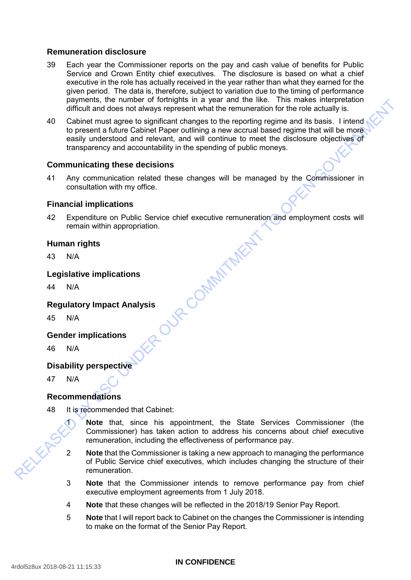## **Remuneration disclosure**

- 39 Each year the Commissioner reports on the pay and cash value of benefits for Public Service and Crown Entity chief executives. The disclosure is based on what a chief executive in the role has actually received in the year rather than what they earned for the given period. The data is, therefore, subject to variation due to the timing of performance payments, the number of fortnights in a year and the like. This makes interpretation difficult and does not always represent what the remuneration for the role actually is.
- 40 Cabinet must agree to significant changes to the report.<br>
to present a future Cabinet Paper outlining a new accruces<br>
easily understood and relevant, and will continue to must<br>
transparency and accountability in the spe Cabinet must agree to significant changes to the reporting regime and its basis. I intend to present a future Cabinet Paper outlining a new accrual based regime that will be more easily understood and relevant, and will continue to meet the disclosure objectives of transparency and accountability in the spending of public moneys.

## **Communicating these decisions**

41 Any communication related these changes will be managed by the Commissioner in consultation with my office.

## **Financial implications**

Expenditure on Public Service chief executive remuneration and employment costs will remain within appropriation.

## **Human rights**

 $N/A$ 

## **Legislative implications**

 $N/A$ 

# **Regulatory Impact Analysis**

 $N/A$ 

## **Gender implications**

 $N/A$ 

## **Disability perspective**

 $N/A$ 

## **Recommendations**

- It is recommended that Cabinet:
	- Note that, since his appointment, the State Services Commissioner (the Commissioner) has taken action to address his concerns about chief executive remuneration, including the effectiveness of performance pay.
	- Note that the Commissioner is taking a new approach to managing the performance of Public Service chief executives, which includes changing the structure of their remuneration.
	- **Note** that the Commissioner intends to remove performance pay from chief executive employment agreements from 1 July 2018.
	- 4 **Note** that these changes will be reflected in the 2018/19 Senior Pay Report.
	- 5 **Note** that I will report back to Cabinet on the changes the Commissioner is intending to make on the format of the Senior Pay Report.

#### **IN CONFIDENCE**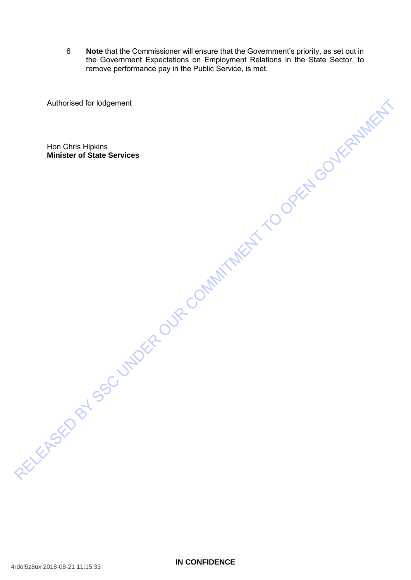6 **Note** that the Commissioner will ensure that the Government's priority, as set out in the Government Expectations on Employment Relations in the State Sector, to remove performance pay in the Public Service, is met.

Authorised for loagement<br>Minister of State Services<br>Minister of State Services<br>RELEASED BY SC UNDER OUR COMMITMENT TO OPEN GOVERNMENT Authorised for lodgement Hon Chris Hipkins **Minister of State Services**